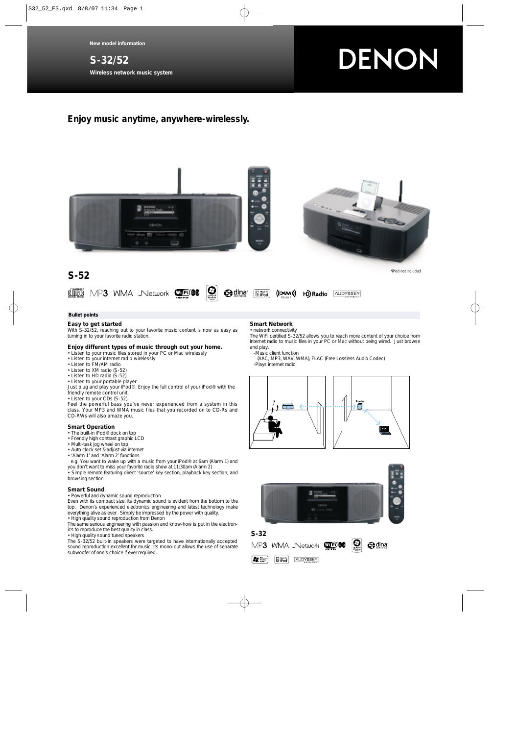# **S-32/52 Wireless network music system**

# DENON

# **Enjoy music anytime, anywhere-wirelessly.**





#### **Bullet points**

### **Easy to get started**

With S-32/52, reaching out to your favorite music content is now as easy as turning in to your favorite radio station.

#### **Enjoy different types of music through out your home.**

- Listen to your music files stored in your PC or Mac wirelessly
- Listen to your internet radio wirelessly
- Listen to FM/AM radio
- Listen to XM radio (S-52)
- Listen to HD radio (S-52)
- Listen to your portable player

Just plug and play your iPod®. Enjoy the full control of your iPod® with the friendly remote control unit.

• Listen to your CDs (S-52)

Feel the powerful bass you've never experienced from a system in this class. Your MP3 and WMA music files that you recorded on to CD-Rs and CD-RWs will also amaze you.

#### **Smart Operation**

- The built-in iPod® dock on top
- Friendly high contrast graphic LCD
- Multi-task jog wheel on top
- Auto clock set & adjust via internet
- 'Alarm 1' and 'Alarm 2' functions

e.g. You want to wake up with a music from your iPod® at 6am (Alarm 1) and you don't want to miss your favorite radio show at 11:30am (Alarm 2) • Simple remote featuring direct 'source' key section, playback key section, and browsing section.

#### **Smart Sound**

• Powerful and dynamic sound reproduction

Even with its compact size, its dynamic sound is evident from the bottom to the top. Denon's experienced electronics engineering and latest technology make everything alive as ever. Simply be impressed by the power with quality. • High quality sound reproduction from Denon

The same serious engineering with passion and know-how is put in the electronics to reproduce the best quality in class.

• High quality sound tuned speakers

The S-32/52 built-in speakers were targeted to have internationally accepted sound reproduction excellent for music. Its mono-out allows the use of separate subwoofer of one's choice if ever required.

#### **Smart Network**

#### • network connectivity

The WiFi certified S-32/52 allows you to reach more content of your choice from internet radio to music files in your PC or Mac without being wired. Just browse and play.

-Music client function

(AAC, MP3, WAV, WMA), FLAC (Free Lossless Audio Codec) -Plays internet radio